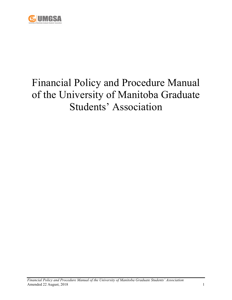

# Financial Policy and Procedure Manual of the University of Manitoba Graduate Students' Association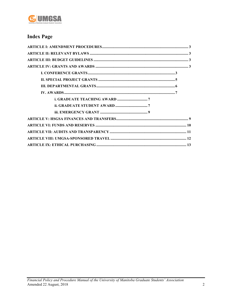

# **Index Page**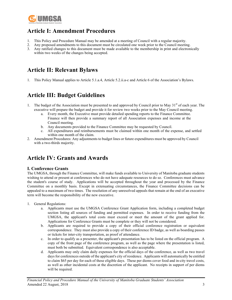

# **Article I: Amendment Procedures**

- 1. This Policy and Procedure Manual may be amended at a meeting of Council with a regular majority.
- 2. Any proposed amendments to this document must be circulated one week prior to the Council meeting.
- 3. Any ratified changes to this document must be made available to the membership in print and electronically within two weeks of the changes being accepted.

# **Article II: Relevant Bylaws**

1. This Policy Manual applies to Article 5.1.a.4, Article 5.2.ii.a-c and Article 6 of the Association's Bylaws.

# **Article III: Budget Guidelines**

- 1. The budget of the Association must be presented to and approved by Council prior to May  $31<sup>st</sup>$  of each year. The executive will prepare the budget and provide it for review two weeks prior to the May Council meeting.
	- a. Every month, the Executive must provide detailed spending reports to the Finance Committee. Finance will then provide a summary report of all Association expenses and income at the Council meeting.
	- b. Any documents provided to the Finance Committee may be requested by Council.
	- c. All expenditures and reimbursements must be claimed within one month of the expense, and settled within one month of the claim.
- 2. Amendment Procedures: Any adjustments to budget lines or future expenditures must be approved by Council with a two-thirds majority.

### **Article IV: Grants and Awards**

#### **I. Conference Grants**

The UMGSA, through the Finance Committee, will make funds available to University of Manitoba graduate students wishing to attend or present at conferences who do not have adequate resources to do so. Conferences must advance the student's course of study. Applications will be accepted throughout the year and processed by the Finance Committee on a monthly basis. Except in extenuating circumstances, the Finance Committee decisions can be appealed to a maximum of two times. The resolution of any unresolved appeals that remain at the end of an executive term will become the responsibility of the new executive.

- 1. General Regulations:
	- a. Applicants must use the UMGSA Conference Grant Application form, including a completed budget section listing all sources of funding and permitted expenses. In order to receive funding from the UMGSA, the applicant's total costs must exceed or meet the amount of the grant applied for. Applications for Conference Grants must be complete or they will not be considered.
	- b. Applicants are required to provide a copy of their official conference registration or equivalent correspondence. They must also provide a copy of their conference ID badge, as well as boarding passes or tickets for inter-city transportation, as proof of attendance.
	- c. In order to qualify as a presenter, the applicant's presentation has to be listed on the official program. A copy of the front page of the conference program, as well as the page where the presentation is listed, must both be submitted. Equivalent correspondence is also acceptable.
	- d. Applicants may only claim daily expenses for the official days of the conference, as well as two travel days for conferences outside of the applicant's city of residence. Applicants will automatically be entitled to claim \$65 per day for each of these eligible days. These per diems cover food and in-city travel costs, as well as other incidental costs at the discretion of the applicant. No receipts in support of per diems will be required.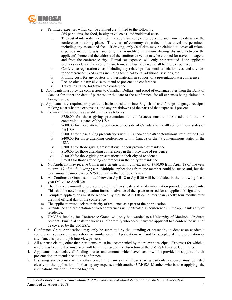

- e. Permitted expenses which can be claimed are limited to the following:
	- i. \$65 per diems, for food, in-city travel costs, and incidental costs.
		- ii. The cost of inter-city travel from the applicant's city of residence to and from the city where the conference is taking place. The costs of economy air, train, or bus travel are permitted, including any associated fees. If driving, only \$0.43/km may be claimed to cover all related expenses including gas, and only the round-trip minimum driving distance between the applicant's home and the address of the conference venue may be claimed for travel mileage to and from the conference city. Rental car expenses will only be permitted if the applicant provides evidence that economy air, train, and bus fares would all be more expensive.
	- iii. Conference registration costs, including any related professional association fees, and any fees for conference-linked extras including technical tours, additional sessions, etc.
	- iv. Printing costs for any posters or other materials in support of a presentation at a conference.
	- v. Fees to obtain a travel visa to attend or present at a conference.
	- vi. Travel Insurance for travel to a conference.
- f. Applicants must provide conversions to Canadian Dollars, and proof of exchange rates from the Bank of Canada for either the date of purchase or the date of the conference, for all expenses being claimed in foreign funds.
- g. Applicants are required to provide a basic translation into English of any foreign language receipts, making clear what the expense is, and any breakdowns of the parts of that expense if present.
- h. The maximum amounts available will be as follows:
	- i. \$750.00 for those giving presentations at conferences outside of Canada and the 48 conterminous states of the USA
	- ii. \$600.00 for those attending conferences outside of Canada and the 48 conterminous states of the USA
	- iii. \$500.00 for those giving presentations within Canada or the 48 conterminous states of the USA
	- iv. \$400.00 for those attending conferences within Canada or the 48 conterminous states of the USA
	- v. \$200.00 for those giving presentations in their province of residence
	- vi. \$150.00 for those attending conferences in their province of residence
	- vii. \$100.00 for those giving presentations in their city of residence
	- viii. \$75.00 for those attending conferences in their city of residence
- i. No Applicant may receive Conference Grants totalling in excess of \$750.00 from April 18 of one year to April 17 of the following year. Multiple applications from one member could be successful, but the total amount cannot exceed \$750.00 within that period of a year.
- j. All Conference Grants submitted between April 18 to April 30 will be included in the following fiscal year (May 1 to April 30).
- k. The Finance Committee reserves the right to investigate and verify information provided by applicants. This shall be noted on application forms in advance of the space reserved for an applicant's signature.
- l. Complete applications must be received by the UMGSA Office no later than exactly four months after the final official day of the conference.
- m. The applicant must declare their city of residence as a part of their application.
- n. Attendance and presentation at web conferences will be treated as conferences in the applicant's city of residence.
- o. UMGSA funding for Conference Grants will only be awarded to a University of Manitoba Graduate Student. Financial costs for friends and/or family who accompany the applicant to a conference will not be covered by the UMGSA.
- 2. Conference Grant Applications may only be submitted by the attending or presenting student at an academic conference, symposium, workshop, or similar event. Applications will not be accepted if the presentation or attendance is part of a job interview process.
- 3. All expense claims, other than per diems, must be accompanied by the relevant receipts. Expenses for which a receipt has been lost or misplaced will be reimbursed at the discretion of the UMGSA Finance Committee.
- 4. Applicants must declare all funding sources and amounts which have been or will be provided in support of their presentation or attendance at the conference.
- 5. If sharing any expenses with another person, the names of all those sharing particular expenses must be listed clearly on the application. If sharing any expenses with another UMGSA Member who is also applying, the applications must be submitted together.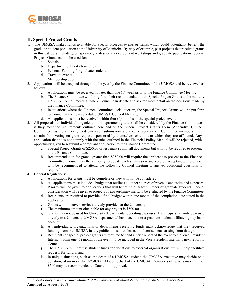

#### **II. Special Project Grants**

- 1. The UMGSA makes funds available for special projects, events or items, which could potentially benefit the graduate student population at the University of Manitoba. By way of example, past projects that received grants in this category include guest speakers, professional development workshops and graduate publications. Special Projects Grants cannot be used for:
	- a. Socials
	- b. Department publicity brochures
	- c. Personal Funding for graduate students
	- d. Travel to events
	- e. Membership dues
- 2. Applications will be accepted throughout the year by the Finance Committee of the UMGSA and be reviewed as follows:
	- a. Applications must be received no later than one (1) week prior to the Finance Committee Meeting.
	- b. The Finance Committee will bring forth their recommendations on Special Project Grants to the monthly UMGSA Council meeting, where Council can debate and ask for more detail on the decisions made by the Finance Committee.
	- c. In situations where the Finance Committee lacks quorum, the Special Projects Grants will be put forth to Council at the next scheduled UMGSA Council Meeting.
	- d. All applications must be received within four (4) months of the special project event.
- 3. All proposals for individual, organization or department grants shall be considered by the Finance Committee if they meet the requirements outlined here and on the Special Project Grants Form (Appendix B). The Committee has the authority to debate each submission and vote on acceptance. Committee members must abstain from voting on grant requests sponsored by themselves or a unit to which they are affiliated. Any application that does not comply with the rules outlined in the Financial Policy Manual will be rejected, with opportunity given to resubmit a compliant application to the Finance Committee.
	- a. Special Project Grants of \$250.00 or less must submit all documents but will not be required to present to the Finance Committee.
	- b. Recommendation for grants greater than \$250.00 will require the applicant to present to the Finance Committee. Council has the authority to debate each submission and vote on acceptance. Presenters will be recommended to attend the following Council meeting to answer additional questions if required.
- 4. General Regulations:
	- a. Applications for grants must be complete or they will not be considered.
	- b. All applications must include a budget that outlines all other sources of revenue and estimated expenses.
	- c. Priority will be given to applications that will benefit the largest number of graduate students. Special consideration will be given to projects of extraordinary merit, to be evaluated by the Finance Committee.
	- d. Recipients are required to provide a final budget within one month of the completion date stated in the application.
	- e. Grants will not cover services already provided at the University.
	- f. The maximum amount obtainable for any project is \$500.00.
	- g. Grants may not be used for University departmental operating expenses. The cheques can only be issued directly to a University UMGSA-departmental bank account or a graduate student affiliated group bank account.
	- h. All individuals, organizations or departments receiving funds must acknowledge that they received funding from the UMGSA in any publications, broadcasts or advertisements arising from that grant.
	- i. Recipients of special project grants are required to send a brief report of the event to the Vice President Internal within one (1) month of the event, to be included in the Vice President Internal's next report to Council.
	- j. The UMGSA will not use student funds for donations to external organizations but will help facilitate requests for fundraising.
	- k. In unique situations, such as the death of a UMGSA student, the UMGSA executive may decide on a donation, of no more than \$250.00 CAD, on behalf of the UMGSA. Donations of up to a maximum of \$500 may be recommended to Council for approval.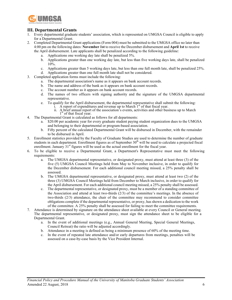

#### **III. Departmental Grants**

- 1. Every departmental graduate students' association, which is represented on UMGSA Council is eligible to apply for a Departmental Grant.
- 2. Completed Departmental Grant applications (Form 004) must be submitted to the UMGSA office no later than 4:00 pm on the following dates: **November 1st** to receive the December disbursement and **April 1st** to receive the April disbursement. Late applicants shall be penalized according to the following guideline:
	- a. Applications one working day late shall be penalized 5%.
	- b. Applications greater than one working day late, but less than five working days late, shall be penalized 10%.
	- c. Applications greater than 5 working days late, but less than one full month late, shall be penalized 25%.
	- d. Applications greater than one full month late shall not be considered.
- 3. Completed application forms must include the following:
	- a. The departmental association's name as it appears on bank account records.
	- b. The name and address of the bank as it appears on bank account records.
	- c. The account number as it appears on bank account records.
	- d. The names of two officers with signing authority and the signature of the UMGSA departmental representative.
	- e. To qualify for the April disbursement, the departmental representative shall submit the following:
		- i. A report of expenditures and revenue up to March  $1<sup>st</sup>$  of that fiscal year.
		- ii. A brief annual report of the association's events, activities and other business up to March  $1<sup>st</sup>$  of that fiscal year.
- 4. The Departmental Grant is calculated as follows for all departments:
	- a. \$20.00 per academic year for every graduate student paying student organization dues to the UMGSA and belonging to their departmental or program-based association.
	- b. Fifty percent of the calculated Departmental Grant will be disbursed in December, with the remainder to be disbursed in April.
- 5. Enrollment statistics provided by the Faculty of Graduate Studies are used to determine the number of graduate students in each department. Enrollment figures as of September  $30<sup>th</sup>$  will be used to calculate a projected fiscal enrollment. January  $31<sup>st</sup>$  figures will be used as the actual enrollment for the fiscal year.
- 6. To be eligible to receive a Departmental Grant, a Department's Representative must meet the following requirements:
	- a. The UMGSA departmental representative, or designated proxy, must attend at least three (3) of the five (5) UMGSA Council Meetings held from May to November inclusive, in order to qualify for the December disbursement. For each additional council meeting missed, a 25% penalty shall be assessed.
	- b. The UMGSA departmental representative, or designated proxy, must attend at least two (2) of the three (3) UMGSA Council Meetings held from December to March inclusive, in order to qualify for the April disbursement. For each additional council meeting missed, a 25% penalty shall be assessed.
	- c. The departmental representative, or designated proxy, must be a member of a standing committee of the Association and attend at least two-thirds (2/3) of the committee's meetings. In the absence of two-thirds (2/3) attendance, the chair of the committee may recommend to consider committee obligations complete if the departmental representative, or proxy, has shown a dedication to the work of the committee. A 25% penalty shall be assessed for failing to meet the committee requirements.
- 7. Attendance is determined by signature on the attendance sheet available at every Council or General meeting. The departmental representative, or designated proxy, must sign the attendance sheet to be eligible for a Departmental Grant.
	- a. In the event of additional meetings (e.g., Annual General Meeting, Special General Meetings, Council Retreat) the ratio will be adjusted accordingly.
	- b. Attendance in a meeting is defined as being a minimum presence of 60% of the meeting time.
	- c. In the event of repeated late attendance and/or early departures from meetings, penalties will be assessed on a case-by-case basis by the Vice President Internal.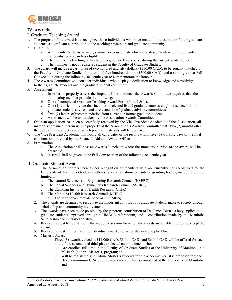

#### **IV. Awards**

#### I. Graduate Teaching Award

- 1. The purpose of the award is to recognize those individuals who have made, in the estimate of their graduate students, a significant contribution to the teaching profession and graduate community.
- 2. Eligibility
	- a. Any member's thesis advisor, seminar or course instructor, or professor with whom the member has conducted research is eligible if:
	- b. The nominee is teaching or has taught a graduate level course during the current academic term.
	- c. The nominee is not a registered student in the Faculty of Graduate Studies.
- 3. The award will include a cash prize of two hundred and fifty dollars (\$250.00 CAD), to be equally matched by the Faculty of Graduate Studies for a total of five hundred dollars (\$500.00 CAD), and a scroll given at Fall Convocation during the following academic year to commemorate the honour.
- 4. The Awards Committee will consider individuals who display a dedication to knowledge and sensitivity to their graduate students and the graduate student community.
- 5. Assessment
	- a. In order to properly assess the impact of the nominee, the Awards Committee requires that the nominating member provide the following:
	- b. One (1) completed Graduate Teaching Award Form (Parts I & II).
	- c. One (1) curriculum vitae that includes a selected list of graduate courses taught, a selected list of graduate students advised, and a selected list of graduate advisory committees.
	- d. Two (2) letters of recommendation from current or former graduate students.
	- e. Assessment will be undertaken by the Association Awards Committee.
- 6. Once an application has been successfully received by the Vice President Academic of the Association, all materials contained therein will be property of the Association's Awards Committee until two (2) months after the close of the competition, at which point all materials will be destroyed.
- 7. The Vice President Academic will notify all candidates of the results within five (5) working days of the final confirmation provided by the Financial Aid and Awards Office.
- 8. Presentation
	- a. The Association shall host an Awards Luncheon where the monetary portion of the award will be presented.
	- b. A scroll shall be given at the Fall Convocation of the following academic year.
- II. Graduate Student Awards
	- 1. The Association confers peer-to-peer recognition of members who are currently not recognized by the University of Manitoba Graduate Fellowship or any national awards or granting bodies, including but not limited to:
		- a. The Natural Sciences and Engineering Research Council (NSERC)
		- b. The Social Sciences and Humanities Research Council (SSHRC)
		- c. The Canadian Institutes of Health Research (CIHR)
		- d. The Manitoba Health Research Council (MHRC)
			- e. The Manitoba Graduate Scholarship (MGS)
	- 2. The awards are designed to recognize the important contributions graduate students make to society through scholarship and community involvement.
	- 3. The awards have been made possible by the generous contribution of Dr. James Burns, a levy applied to all graduate students approved through a UMGSA referendum, and a contribution made by the Manitoba Scholarship and Bursary Initiative.
	- 4. Recipients must be registered in the academic session for which the awards are tenable in order to accept the award.
	- 5. Recipients must further meet the individual award criteria for the award applied for.
	- 6. Master's Award
		- a. Three (3) awards valued at \$11,000 CAD, \$8,000 CAD, and \$6,000 CAD will be offered for each of the first, second, and third place selected award winners who:
			- i. Are enrolled full-time in the Faculty of Graduate Studies at the University of Manitoba in a Master's (not pre-Master's) program; and
			- ii. Will be registered as full-time Master's students for the academic year it is proposed for; and
			- iii. Have a minimum GPA of 3.5 based on credit hours completed at the University of Manitoba; and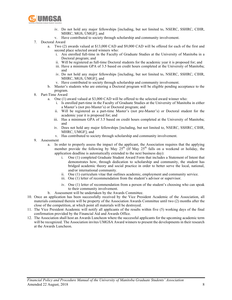

- iv. Do not hold any major fellowships [including, but not limited to, NSERC, SSHRC, CIHR, MHRC, MGS, UMGF]; and
- v. Have contributed to society through scholarship and community involvement.
- 7. Doctoral Award
	- a. Two (2) awards valued at \$13,000 CAD and \$9,000 CAD will be offered for each of the first and second place selected award winners who:
		- i. Are enrolled full-time in the Faculty of Graduate Studies at the University of Manitoba in a Doctoral program; and
		- ii. Will be registered as full-time Doctoral students for the academic year it is proposed for; and
		- iii. Have a minimum GPA of 3.5 based on credit hours completed at the University of Manitoba; and
		- iv. Do not hold any major fellowships [including, but not limited to, NSERC, SSHRC, CIHR, MHRC, MGS, UMGF]; and
		- v. Have contributed to society through scholarship and community involvement.
	- b. Master's students who are entering a Doctoral program will be eligible pending acceptance to the program.
- 8. Part-Time Award
	- a. One (1) award valued at \$3,000 CAD will be offered to the selected award winner who:
		- i. Is enrolled part-time in the Faculty of Graduate Studies at the University of Manitoba in either a Master's (not pre-Master's) or Doctoral program; and
		- ii. Will be registered as a part-time Master's (not pre-Master's) or Doctoral student for the academic year it is proposed for; and
		- iii. Has a minimum GPA of 3.5 based on credit hours completed at the University of Manitoba; and
		- iv. Does not hold any major fellowships [including, but not limited to, NSERC, SSHRC, CIHR, MHRC, UMGF]; and
		- v. Has contributed to society through scholarship and community involvement.
- 9. Assessment
	- a. In order to properly assess the impact of the applicant, the Association requires that the applying member provide the following by May  $25<sup>th</sup>$  (If May  $25<sup>th</sup>$  falls on a weekend or holiday, the application deadline is automatically extended to the next business day):
		- i. One (1) completed Graduate Student Award Form that includes a Statement of Intent that demonstrates how, through dedication to scholarship and community, the student has bridged academic theory and social practice in order to better serve the local, national, and/or international community.
		- ii. One (1) curriculum vitae that outlines academic, employment and community service.
		- iii. One (1) letter of recommendation from the student's advisor or supervisor.
		- iv. One (1) letter of recommendation from a person of the student's choosing who can speak to their community involvement.
	- b. Assessment will be undertaken by the Awards Committee.
- 10. Once an application has been successfully received by the Vice President Academic of the Association, all materials contained therein will be property of the Association Awards Committee until two (2) months after the close of the competition, at which point all materials will be destroyed.
- 11. The Vice President Academic will notify all applicants of the results within five (5) working days of the final confirmation provided by the Financial Aid and Awards Office.
- 12. The Association shall host an Awards Luncheon where the successful applicants for the upcoming academic term will be recognized. The Association invites UMGSA Award winners to present the developments in their research at the Awards Luncheon.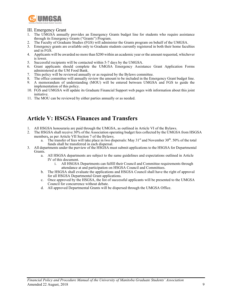

#### III. Emergency Grant

- 1. The UMGSA annually provides an Emergency Grants budget line for students who require assistance through its Emergency Grants ("Grants") Program.
- 2. The Faculty of Graduate Studies (FGS) will administer the Grants program on behalf of the UMGSA.
- 3. Emergency grants are available only to Graduate students currently registered in both their home faculties and in FGS.
- 4. Applicants will be awarded no more than \$200 within an academic year or the amount requested, whichever is lower.
- 5. Successful recipients will be contacted within 5-7 days by the UMGSA.
- 6. Grant applicants should complete the UMGSA Emergency Assistance Grant Application Forms administered at the UM Food Bank.
- 7. This policy will be reviewed annually or as required by the Bylaws committee.
- 8. The office committee will annually review the amount to be included in the Emergency Grant budget line.
- 9. A memorandum of understanding (MOU) will be entered between UMGSA and FGS to guide the implementation of this policy.
- 10. FGS and UMGSA will update its Graduate Financial Support web pages with information about this joint initiative.
- 11. The MOU can be reviewed by either parties annually or as needed.

### **Article V: HSGSA Finances and Transfers**

- 1. All HSGSA honouraria are paid through the UMGSA, as outlined in Article VI of the Bylaws.
- 2. The HSGSA shall receive 30% of the Association operating budget fees collected by the UMGSA from HSGSA members*,* as per Article VII Section 7 of the Bylaws.
	- a. The transfer of fees will take place in two dispersals: May  $31<sup>st</sup>$  and November  $30<sup>th</sup>$ . 50% of the total funds shall be transferred in each dispersal.
- 3. All departments under the purview of the HSGSA must submit applications to the HSGSA for Departmental Grants.
	- a. All HSGSA departments are subject to the same guidelines and expectations outlined in Article IV of this document.
		- i. All HSGSA Departments can fulfill their Council and Committee requirements through attendance at and participation on HSGSA Council and Committees.
	- b. The HSGSA shall evaluate the applications and HSGSA Council shall have the right of approval for all HSGSA Departmental Grant applications.
	- c. Once approved by the HSGSA, the list of successful applicants will be presented to the UMGSA Council for concurrence without debate.
	- d. All approved Departmental Grants will be dispersed through the UMGSA Office.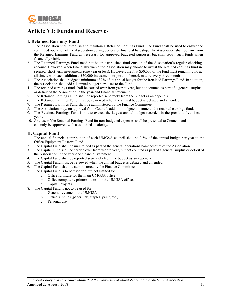

# **Article VI: Funds and Reserves**

#### **I. Retained Earnings Fund**

- 1. The Association shall establish and maintain a Retained Earnings Fund. The Fund shall be used to ensure the continued operation of the Association during periods of financial hardship. The Association shall borrow from the Retained Earnings Fund as necessary for approved budgeted purposes, but shall repay such funds when financially viable.
- 2. The Retained Earnings Fund need not be an established fund outside of the Association's regular checking account. However, when financially viable the Association may choose to invest the retained earnings fund in secured, short-term investments (one year or less). However, the first \$50,000 of the fund must remain liquid at all times, with each additional \$50,000 investment, or portion thereof, mature every three months.
- 3. The Association shall budget a minimum of 2% of its annual budget for the Retained Earnings Fund. In addition, the Association shall add all annual budget surpluses to the Fund.
- 4. The retained earnings fund shall be carried over from year to year, but not counted as part of a general surplus or deficit of the Association in the year-end financial statement.
- 5. The Retained Earnings Fund shall be reported separately from the budget as an appendix.
- 6. The Retained Earnings Fund must be reviewed when the annual budget is debated and amended.
- 7. The Retained Earnings Fund shall be administered by the Finance Committee.
- 8. The Association may, on approval from Council, add non-budgeted income to the retained earnings fund.
- 9. The Retained Earnings Fund is not to exceed the largest annual budget recorded in the previous five fiscal years.
- 10. Any use of the Retained Earnings Fund for non-budgeted expenses shall be presented to Council, and can only be approved with a two-thirds majority.

#### **II. Capital Fund**

- 1. The annual financial contribution of each UMGSA council shall be 2.5% of the annual budget per year to the Office Equipment Reserve Fund.
- 2. The Capital Fund shall be maintained as part of the general operations bank account of the Association.
- 3. The Capital Fund shall be carried over from year to year, but not counted as part of a general surplus or deficit of the Association in the year-end financial statement.
- 4. The Capital Fund shall be reported separately from the budget as an appendix.
- 5. The Capital Fund must be reviewed when the annual budget is debated and amended.
- 6. The Capital Fund shall be administered by the Finance Committee.
- 7. The Capital Fund is to be used for, but not limited to:
	- a. Office furniture for the main UMGSA office
	- b. Office computers, printers, faxes for the UMGSA office.
	- c. Capital Projects
- 8. The Capital Fund is not to be used for:
	- a. General revenue of the UMGSA
	- b. Office supplies (paper, ink, staples, paint, etc.)
	- c. Personal use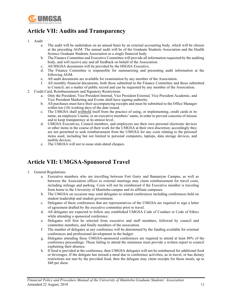

# **Article VII: Audits and Transparency**

- 1. Audit
	- a. The audit will be undertaken on an annual basis by an external accounting body, which will be chosen at the preceding AGM. The annual audit will be of the Graduate Students Association and the Health Science Graduate Students Association as a single financial body.
	- b. The Finance Committee and Executive Committee will provide all information requested by the auditing body, and will receive any and all feedback on behalf of the Association.
	- c. All HSGSA documents will be provided by the HSGSA Executive.
	- d. The Finance Committee is responsible for summarizing and presenting audit information at the following AGM.
	- e. All audit documents are available for examination by any member of the Association.
	- f. All monthly financial documents, both those submitted to the Finance Committee and those submitted to Council, are a matter of public record and can be requested by any member of the Association.
- 2. Credit Card, Reimbursements and Signatory Restrictions
	- a. Only the President, Vice President Internal, Vice President External, Vice President Academic, and Vice President Marketing and Events shall have signing authority.
	- b. All purchases must have their accompanying receipts and must be submitted to the Office Manager within ten  $(10)$  working days of the date issued.
	- c. The UMGSA shall withhold itself from the practice of using, or implementing, credit cards in its name, an employee's name, or an executive members' name, in order to prevent concerns of misuse and to keep transparency at its utmost level.
	- d. UMGSA Executives, Council members, and employees use their own personal electronic devices or other items in the course of their work for the UMGSA at their own discretion; accordingly they are not permitted to seek reimbursement from the UMGSA for any costs relating to the personal items used, including but not limited to personal computers, laptops, data storage devices, and mobile devices.
	- e. The UMGSA will not re-issue stale-dated cheques.

# **Article VII: UMGSA-Sponsored Travel**

- 1. General Regulations:
	- a. Executive members who are travelling between Fort Garry and Bannatyne Campus, as well as between the Association offices to external meetings may claim reimbursement for travel costs, including mileage and parking. Costs will not be reimbursed if the Executive member is traveling from home to the University of Manitoba campus and its affiliate campuses.
	- b. The UMGSA on occasion may send delegates to related conferences including conferences held on student leadership and student government.
	- c. Delegates of these conferences that are representatives of the UMGSA are required to sign a letter of agreement drafted by the executive committee prior to travel.
	- d. All delegates are expected to follow any established UMGSA Code of Conduct or Code of Ethics while attending a sponsored conference.
	- e. Delegates will first be selected from executive and staff members, followed by council and committee members, and finally members of the association.
	- f. The number of delegates at any conference will be determined by the funding available for external conferences and professional development in the budget.
	- g. Delegates attending these UMGSA-sponsored conferences are required to attend at least 80% of the conference proceedings. Those failing to attend the minimum must provide a written report to council explaining their absence.
	- h. If food is provided at the conference, then UMGSA delegates will not be reimbursed for additional food or beverages. If the delegate has missed a meal due to conference activities, as in travel, or has dietary restrictions not met by the provided food, then the delegate may claim receipts for those meals, up to \$40 per diem.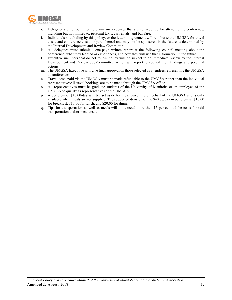

- i. Delegates are not permitted to claim any expenses that are not required for attending the conference, including but not limited to, personal taxis, car rentals, and bus fare.
- j. Individuals not abiding by this policy, or the letter of agreement will reimburse the UMGSA for travel costs, and conference costs, or parts thereof and may not be sponsored in the future as determined by the Internal Development and Review Committee.
- k. All delegates must submit a one-page written report at the following council meeting about the conference, what they learned or experiences, and how they will use that information in the future.
- l. Executive members that do not follow policy will be subject to an immediate review by the Internal Development and Review Sub-Committee, which will report to council their findings and potential actions.
- m. The UMGSA Executive will give final approval on those selected as attendees representing the UMGSA at conferences.
- n. Travel costs paid via the UMGSA must be made refundable to the UMGSA rather than the individual representative\All travel bookings are to be made through the UMGSA office.
- o. All representatives must be graduate students of the University of Manitoba or an employee of the UMGSA to qualify as representatives of the UMGSA.
- p. A per diem of \$40.00/day will b e set aside for those travelling on behalf of the UMGSA and is only available when meals are not supplied. The suggested division of the \$40.00/day in per diem is: \$10.00 for breakfast, \$10.00 for lunch, and \$20.00 for dinner.
- q. Tips for transportation as well as meals will not exceed more then 15 per cent of the costs for said transportation and/or meal costs.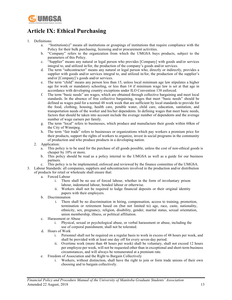

# **Article IX: Ethical Purchasing**

#### 1. Definitions:

- a. "Institution(s)" means all institutions or groupings of institutions that require compliance with the Policy for their bulk purchasing, licensing and/or procurement activities.
- b. "Company" refers to the organization from which the UMGSA buys products, subject to the parameters of this Policy.
- c. "Supplier" means any natural or legal person who provides [Company] with goods and/or services integral to, and utilized in/for, the production of the company's goods and/or services.
- d. The term "subcontractor" means any natural or legal person who, directly or indirectly, provides a supplier with goods and/or services integral to, and utilized in/for, the production of the supplier's and/or [Company]'s goods and/or services.
- e. The term "child" means any person less than 15, unless local minimum age law stipulates a higher age for work or mandatory schooling, or less than 14 if minimum wage law is set at that age in accordance with developing country exceptions under ILO Convention 138 enforced.
- f. The term "basic needs" are wages, which are obtained through collective bargaining and meet local standards. In the absence of free collective bargaining, wages that meet "basic needs" should be defined as wages paid for a normal 48 work week that are sufficient by local standards to provide for the food, clothing, housing, health care, potable water, child care, education, sanitation, and transportation needs of the worker and his/her dependents. In defining wages that meet basic needs, factors that should be taken into account include the average number of dependents and the average number of wage earners per family.
- g. The term "local" refers to businesses, which produce and manufacture their goods within 60km of the City of Winnipeg.
- h. The term "fair trade" refers to businesses or organizations which pay workers a premium price for their products, support the rights of workers to organize, invest in social programs in the community of production and who produce products in a developing nation.
- 2. Application:
	- a. This policy is to be used for the purchase of all goods possible, unless the cost of non-ethical goods is cheaper by 10% or more.
	- b. This policy should be read as a policy internal to the UMGSA as well as a guide for our business partners.
	- c. This policy is to be implemented, enforced and reviewed by the finance committee of the UMGSA.
- 3. Labour Standards: all companies, suppliers and subcontractors involved in the production and/or distribution of products for retail or wholesale shall ensure that:
	- a. Forced Labour
		- i. There shall be no use of forced labour, whether in the form of involuntary prison labour, indentured labour, bonded labour or otherwise.
		- ii. Workers shall not be required to lodge financial deposits or their original identity papers with their employers.
	- b. Discrimination
		- i. There shall be no discrimination in hiring, compensation, access to training, promotion, termination or retirement based on (but not limited to) age, race, caste, nationality, ethnicity, sex, pregnancy, religion, disability, gender, marital status, sexual orientation, union membership, illness, or political affiliation.
	- c. Harassment or Abuse
		- i. Physical, sexual or psychological abuse, or verbal harassment or abuse, including the use of corporal punishment, shall not be tolerated.
	- d. Hours of Work
		- i. Personnel shall not be required on a regular basis to work in excess of 48 hours per week, and shall be provided with at least one day off for every seven-day period.
		- ii. Overtime work (more than 48 hours per week) shall be voluntary, shall not exceed 12 hours per employee per week, will not be requested other than in exceptional and short-term business circumstances, and will always be remunerated at a premium rate.
	- e. Freedom of Association and the Right to Bargain Collectively
		- i. Workers, without distinction, shall have the right to join or form trade unions of their own choosing and to bargain collectively.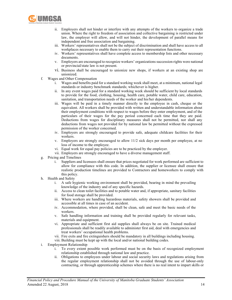

- ii. Employers shall not hinder or interfere with any attempts of the workers to organize a trade union. Where the right to freedom of association and collective bargaining is restricted under law, the employer will allow, and will not hinder, the development of parallel means for independent and free association and bargaining.
- iii. Workers' representatives shall not be the subject of discrimination and shall have access to all workplaces necessary to enable them to carry out their representation functions.
- iv. Workers' representatives shall have complete access to membership lists and other necessary documents.
- v. Employers are encouraged to recognize workers' organizations succession rights were national or provincial/state law is not present.
- vi. Business shall be encouraged to unionize new shops, if workers at an existing shop are unionized.
- f. Wages and Other Compensation
	- i. Wages and benefits paid for a standard working week shall meet, at a minimum, national legal standards or industry benchmark standards; whichever is higher.
	- ii. In any event wages paid for a standard working week should be sufficient by local standards to provide for the food, clothing, housing, health care, potable water, child care, education, sanitation, and transportation needs of the worker and his/her dependents.
	- iii. Wages will be paid in a timely manner directly to the employee in cash, cheque or the equivalent. All workers shall be provided with written and understandable information about their employment conditions with respect to wages before they enter employment, and of the particulars of their wages for the pay period concerned each time that they are paid. Deductions from wages for disciplinary measures shall not be permitted, nor shall any deductions from wages not provided for by national law be permitted without the expressed permission of the worker concerned.
	- iv. Employers are strongly encouraged to provide safe, adequate childcare facilities for their workers.
	- v. Employers are strongly encouraged to allow 11/2 sick days per month per employee, at no loss of income to the employee.
	- vi. Equal work for equal pay policies are to be practiced by the employer.
	- vii. Employers are strongly encouraged to have a diverse management staff.
- g. Pricing and Timelines
	- i. Suppliers and licensees shall ensure that prices negotiated for work performed are sufficient to allow for compliance with this code. In addition, the supplier or licensee shall ensure that realistic production timelines are provided to Contractors and homeworkers to comply with this policy.
- h. Health and Safety
	- i. A safe hygienic working environment shall be provided, bearing in mind the prevailing knowledge of the industry and of any specific hazards.
	- ii. Access to clean toilet facilities and to potable water and, if appropriate, sanitary facilities for food storage shall be provided.
	- iii. Where workers are handling hazardous materials, safety showers shall be provided and accessible at all times in case of an accident.
	- iv. Accommodation, where provided, shall be clean, safe and meet the basic needs of the workers.
	- v. Safe handling information and training shall be provided regularly for relevant tasks, materials and equipment.
	- vi. Appropriate and sufficient first aid supplies shall always be on site. Trained medical professionals shall be readily available to administer first aid, deal with emergencies and treat workers' occupational health problems.
	- vii. Fire exits and fire extinguishers should be mandatory in all buildings including housing.
	- viii. Building must be kept up with the local and/or national building codes.
- i. Employment Relationship
	- i. To every extent possible work performed must be on the basis of recognized employment relationship established through national law and practice.
	- ii. Obligations to employees under labour and social security laws and regulations arising from the regular employment relationship shall not be avoided through the use of labour-only contracting, or through apprenticeship schemes where there is no real intent to impart skills or